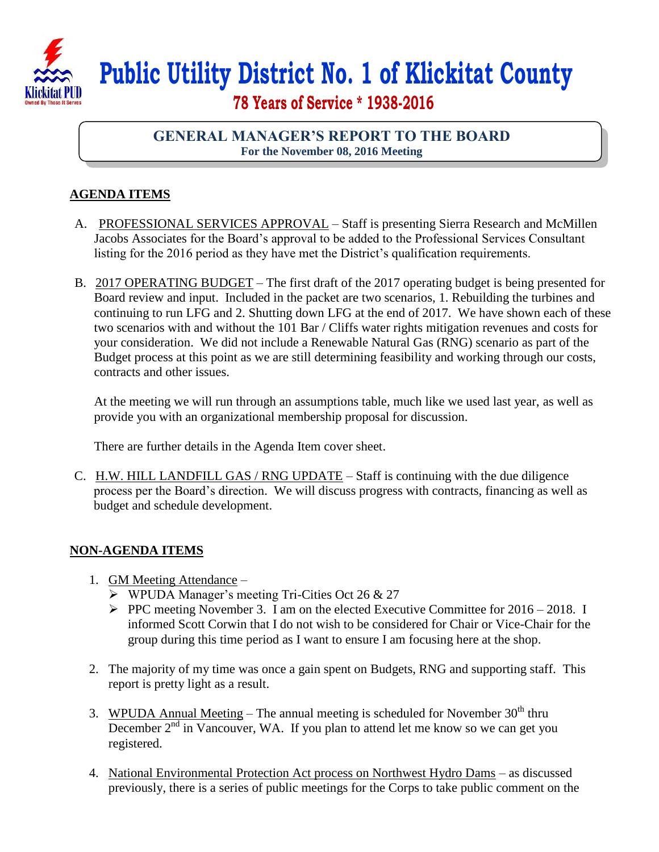

## **Public Utility District No. 1 of Klickitat County**

 **78 Years of Service \* 1938-2016**

## **GENERAL MANAGER'S REPORT TO THE BOARD For the November 08, 2016 Meeting**

## **AGENDA ITEMS**

- A. PROFESSIONAL SERVICES APPROVAL Staff is presenting Sierra Research and McMillen Jacobs Associates for the Board's approval to be added to the Professional Services Consultant listing for the 2016 period as they have met the District's qualification requirements.
- B. 2017 OPERATING BUDGET The first draft of the 2017 operating budget is being presented for Board review and input. Included in the packet are two scenarios, 1. Rebuilding the turbines and continuing to run LFG and 2. Shutting down LFG at the end of 2017. We have shown each of these two scenarios with and without the 101 Bar / Cliffs water rights mitigation revenues and costs for your consideration. We did not include a Renewable Natural Gas (RNG) scenario as part of the Budget process at this point as we are still determining feasibility and working through our costs, contracts and other issues.

At the meeting we will run through an assumptions table, much like we used last year, as well as provide you with an organizational membership proposal for discussion.

There are further details in the Agenda Item cover sheet.

C. H.W. HILL LANDFILL GAS / RNG UPDATE – Staff is continuing with the due diligence process per the Board's direction. We will discuss progress with contracts, financing as well as budget and schedule development.

## **NON-AGENDA ITEMS**

- 1. GM Meeting Attendance
	- $\triangleright$  WPUDA Manager's meeting Tri-Cities Oct 26 & 27
	- PPC meeting November 3. I am on the elected Executive Committee for  $2016 2018$ . I informed Scott Corwin that I do not wish to be considered for Chair or Vice-Chair for the group during this time period as I want to ensure I am focusing here at the shop.
- 2. The majority of my time was once a gain spent on Budgets, RNG and supporting staff. This report is pretty light as a result.
- 3. WPUDA Annual Meeting The annual meeting is scheduled for November  $30<sup>th</sup>$  thru December  $2<sup>nd</sup>$  in Vancouver, WA. If you plan to attend let me know so we can get you registered.
- 4. National Environmental Protection Act process on Northwest Hydro Dams as discussed previously, there is a series of public meetings for the Corps to take public comment on the